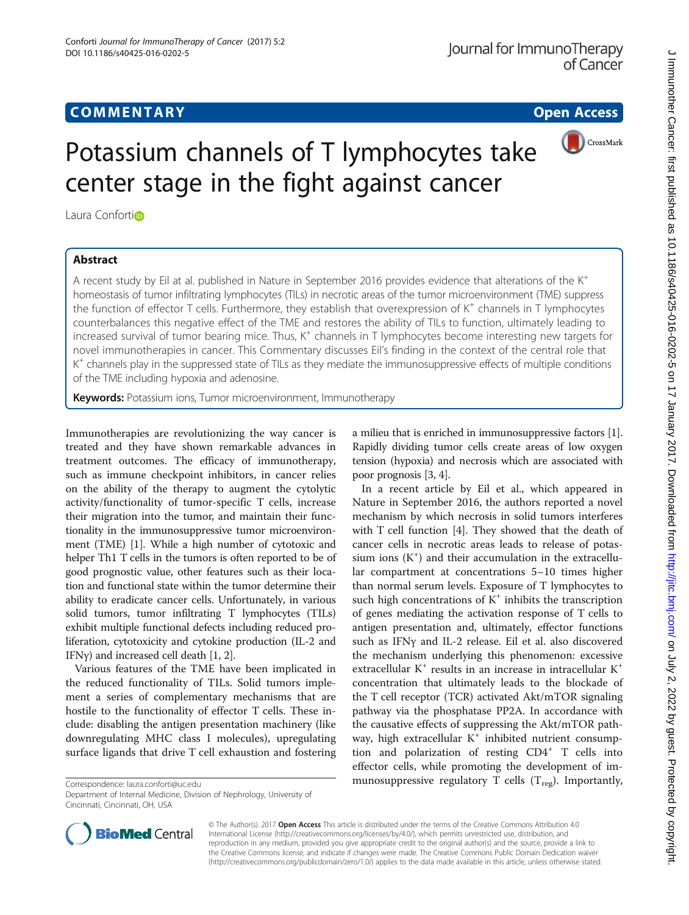

# Potassium channels of T lymphocytes take center stage in the fight against cancer

Laura Confortio

## Abstract

A recent study by Eil at al. published in Nature in September 2016 provides evidence that alterations of the  $K^+$ homeostasis of tumor infiltrating lymphocytes (TILs) in necrotic areas of the tumor microenvironment (TME) suppress the function of effector T cells. Furthermore, they establish that overexpression of  $K^+$  channels in T lymphocytes counterbalances this negative effect of the TME and restores the ability of TILs to function, ultimately leading to increased survival of tumor bearing mice. Thus,  $K^+$  channels in T lymphocytes become interesting new targets for novel immunotherapies in cancer. This Commentary discusses Eil's finding in the context of the central role that  $K^+$  channels play in the suppressed state of TILs as they mediate the immunosuppressive effects of multiple conditions of the TME including hypoxia and adenosine.

Keywords: Potassium ions, Tumor microenvironment, Immunotherapy

Immunotherapies are revolutionizing the way cancer is treated and they have shown remarkable advances in treatment outcomes. The efficacy of immunotherapy, such as immune checkpoint inhibitors, in cancer relies on the ability of the therapy to augment the cytolytic activity/functionality of tumor-specific T cells, increase their migration into the tumor, and maintain their functionality in the immunosuppressive tumor microenvironment (TME) [[1\]](#page-2-0). While a high number of cytotoxic and helper Th1 T cells in the tumors is often reported to be of good prognostic value, other features such as their location and functional state within the tumor determine their ability to eradicate cancer cells. Unfortunately, in various solid tumors, tumor infiltrating T lymphocytes (TILs) exhibit multiple functional defects including reduced proliferation, cytotoxicity and cytokine production (IL-2 and IFN $\gamma$ ) and increased cell death [\[1](#page-2-0), [2](#page-2-0)].

Various features of the TME have been implicated in the reduced functionality of TILs. Solid tumors implement a series of complementary mechanisms that are hostile to the functionality of effector T cells. These include: disabling the antigen presentation machinery (like downregulating MHC class I molecules), upregulating surface ligands that drive T cell exhaustion and fostering

Department of Internal Medicine, Division of Nephrology, University of Cincinnati, Cincinnati, OH, USA

a milieu that is enriched in immunosuppressive factors [[1](#page-2-0)]. Rapidly dividing tumor cells create areas of low oxygen tension (hypoxia) and necrosis which are associated with poor prognosis [\[3, 4](#page-2-0)].

In a recent article by Eil et al., which appeared in Nature in September 2016, the authors reported a novel mechanism by which necrosis in solid tumors interferes with T cell function [\[4](#page-2-0)]. They showed that the death of cancer cells in necrotic areas leads to release of potassium ions  $(K^+)$  and their accumulation in the extracellular compartment at concentrations 5–10 times higher than normal serum levels. Exposure of T lymphocytes to such high concentrations of  $K^+$  inhibits the transcription of genes mediating the activation response of T cells to antigen presentation and, ultimately, effector functions such as IFNγ and IL-2 release. Eil et al. also discovered the mechanism underlying this phenomenon: excessive extracellular K<sup>+</sup> results in an increase in intracellular K<sup>+</sup> concentration that ultimately leads to the blockade of the T cell receptor (TCR) activated Akt/mTOR signaling pathway via the phosphatase PP2A. In accordance with the causative effects of suppressing the Akt/mTOR pathway, high extracellular  $K^+$  inhibited nutrient consumption and polarization of resting  $CD4^+$  T cells into effector cells, while promoting the development of imCorrespondence: [laura.conforti@uc.edu](mailto:laura.conforti@uc.edu) munosuppressive regulatory T cells (T<sub>reg</sub>). Importantly,



© The Author(s). 2017 **Open Access** This article is distributed under the terms of the Creative Commons Attribution 4.0 International License [\(http://creativecommons.org/licenses/by/4.0/](http://creativecommons.org/licenses/by/4.0/)), which permits unrestricted use, distribution, and reproduction in any medium, provided you give appropriate credit to the original author(s) and the source, provide a link to the Creative Commons license, and indicate if changes were made. The Creative Commons Public Domain Dedication waiver [\(http://creativecommons.org/publicdomain/zero/1.0/](http://creativecommons.org/publicdomain/zero/1.0/)) applies to the data made available in this article, unless otherwise stated.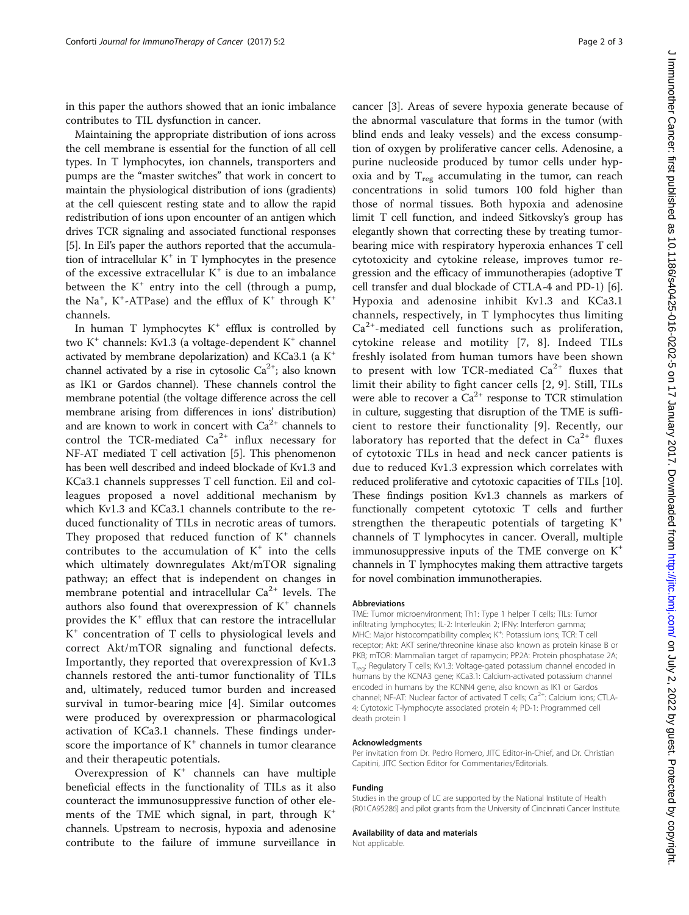in this paper the authors showed that an ionic imbalance contributes to TIL dysfunction in cancer.

Maintaining the appropriate distribution of ions across the cell membrane is essential for the function of all cell types. In T lymphocytes, ion channels, transporters and pumps are the "master switches" that work in concert to maintain the physiological distribution of ions (gradients) at the cell quiescent resting state and to allow the rapid redistribution of ions upon encounter of an antigen which drives TCR signaling and associated functional responses [[5\]](#page-2-0). In Eil's paper the authors reported that the accumulation of intracellular  $K^+$  in T lymphocytes in the presence of the excessive extracellular  $K^+$  is due to an imbalance between the  $K^+$  entry into the cell (through a pump, the Na<sup>+</sup>, K<sup>+</sup>-ATPase) and the efflux of K<sup>+</sup> through K<sup>+</sup> channels.

In human T lymphocytes  $K^+$  efflux is controlled by two  $K^+$  channels: Kv1.3 (a voltage-dependent  $K^+$  channel activated by membrane depolarization) and KCa3.1 (a K+ channel activated by a rise in cytosolic  $Ca^{2+}$ ; also known as IK1 or Gardos channel). These channels control the membrane potential (the voltage difference across the cell membrane arising from differences in ions' distribution) and are known to work in concert with  $Ca^{2+}$  channels to control the TCR-mediated  $Ca^{2+}$  influx necessary for NF-AT mediated T cell activation [\[5\]](#page-2-0). This phenomenon has been well described and indeed blockade of Kv1.3 and KCa3.1 channels suppresses T cell function. Eil and colleagues proposed a novel additional mechanism by which Kv1.3 and KCa3.1 channels contribute to the reduced functionality of TILs in necrotic areas of tumors. They proposed that reduced function of  $K^+$  channels contributes to the accumulation of  $K^+$  into the cells which ultimately downregulates Akt/mTOR signaling pathway; an effect that is independent on changes in membrane potential and intracellular  $Ca^{2+}$  levels. The authors also found that overexpression of  $K^+$  channels provides the  $K^+$  efflux that can restore the intracellular K<sup>+</sup> concentration of T cells to physiological levels and correct Akt/mTOR signaling and functional defects. Importantly, they reported that overexpression of Kv1.3 channels restored the anti-tumor functionality of TILs and, ultimately, reduced tumor burden and increased survival in tumor-bearing mice [\[4](#page-2-0)]. Similar outcomes were produced by overexpression or pharmacological activation of KCa3.1 channels. These findings underscore the importance of  $K^+$  channels in tumor clearance and their therapeutic potentials.

Overexpression of  $K^+$  channels can have multiple beneficial effects in the functionality of TILs as it also counteract the immunosuppressive function of other elements of the TME which signal, in part, through  $K^+$ channels. Upstream to necrosis, hypoxia and adenosine contribute to the failure of immune surveillance in

cancer [\[3](#page-2-0)]. Areas of severe hypoxia generate because of the abnormal vasculature that forms in the tumor (with blind ends and leaky vessels) and the excess consumption of oxygen by proliferative cancer cells. Adenosine, a purine nucleoside produced by tumor cells under hypoxia and by  $T_{reg}$  accumulating in the tumor, can reach concentrations in solid tumors 100 fold higher than those of normal tissues. Both hypoxia and adenosine limit T cell function, and indeed Sitkovsky's group has elegantly shown that correcting these by treating tumorbearing mice with respiratory hyperoxia enhances T cell cytotoxicity and cytokine release, improves tumor regression and the efficacy of immunotherapies (adoptive T cell transfer and dual blockade of CTLA-4 and PD-1) [[6](#page-2-0)]. Hypoxia and adenosine inhibit Kv1.3 and KCa3.1 channels, respectively, in T lymphocytes thus limiting  $Ca<sup>2+</sup>$ -mediated cell functions such as proliferation, cytokine release and motility [[7](#page-2-0), [8\]](#page-2-0). Indeed TILs freshly isolated from human tumors have been shown to present with low TCR-mediated  $Ca^{2+}$  fluxes that limit their ability to fight cancer cells [[2](#page-2-0), [9\]](#page-2-0). Still, TILs were able to recover a  $Ca^{2+}$  response to TCR stimulation in culture, suggesting that disruption of the TME is sufficient to restore their functionality [[9](#page-2-0)]. Recently, our laboratory has reported that the defect in  $Ca^{2+}$  fluxes of cytotoxic TILs in head and neck cancer patients is due to reduced Kv1.3 expression which correlates with reduced proliferative and cytotoxic capacities of TILs [[10](#page-2-0)]. These findings position Kv1.3 channels as markers of functionally competent cytotoxic T cells and further strengthen the therapeutic potentials of targeting  $K^+$ channels of T lymphocytes in cancer. Overall, multiple immunosuppressive inputs of the TME converge on  $K^+$ channels in T lymphocytes making them attractive targets for novel combination immunotherapies.

#### Abbreviations

TME: Tumor microenvironment; Th1: Type 1 helper T cells; TILs: Tumor infiltrating lymphocytes; IL-2: Interleukin 2; IFNγ: Interferon gamma; MHC: Major histocompatibility complex; K<sup>+</sup>: Potassium ions; TCR: T cell receptor; Akt: AKT serine/threonine kinase also known as protein kinase B or PKB; mTOR: Mammalian target of rapamycin; PP2A: Protein phosphatase 2A; Treg: Regulatory T cells; Kv1.3: Voltage-gated potassium channel encoded in humans by the KCNA3 gene; KCa3.1: Calcium-activated potassium channel encoded in humans by the KCNN4 gene, also known as IK1 or Gardos channel; NF-AT: Nuclear factor of activated T cells;  $Ca^{2+}$ : Calcium ions; CTLA-4: Cytotoxic T-lymphocyte associated protein 4; PD-1: Programmed cell death protein 1

#### Acknowledgments

Per invitation from Dr. Pedro Romero, JITC Editor-in-Chief, and Dr. Christian Capitini, JITC Section Editor for Commentaries/Editorials.

#### Funding

Studies in the group of LC are supported by the National Institute of Health (R01CA95286) and pilot grants from the University of Cincinnati Cancer Institute.

### Availability of data and materials

Not applicable.